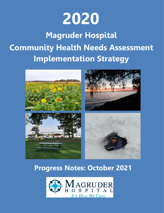

# **Magruder Hospital Community Health Needs Assessment Implementation Strategy**



### **Progress Notes: October 2021**

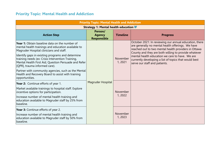### **Priority Topic: Mental Health and Addiction**

| <b>Priority Topic: Mental Health and Addiction</b>                                                                                                                                             |                                                |                     |                                                                                                                                                                                                                             |  |  |
|------------------------------------------------------------------------------------------------------------------------------------------------------------------------------------------------|------------------------------------------------|---------------------|-----------------------------------------------------------------------------------------------------------------------------------------------------------------------------------------------------------------------------|--|--|
|                                                                                                                                                                                                | Strategy 1: Mental health education            |                     |                                                                                                                                                                                                                             |  |  |
| <b>Action Step</b>                                                                                                                                                                             | Person/<br><b>Agency</b><br><b>Responsible</b> | <b>Timeline</b>     | <b>Progress</b>                                                                                                                                                                                                             |  |  |
| Year 1: Obtain baseline data on the number of<br>mental health trainings and education available to<br>Magruder Hospital clinicians and staff.                                                 |                                                |                     | October 2021: In reviewing our annual education, there<br>are generally no mental health offerings. We have<br>reached out to two mental health providers in Ottawa<br>County and they are both willing to provide whatever |  |  |
| Identify gaps in existing programs and determine<br>training needs (ex: Crisis Intervention Training,<br>Mental Health First Aid, Question Persuade and Refer<br>[QPR], trauma informed care). |                                                | November<br>1, 2021 | mental health education we care to have. We are<br>currently developing a list of topics that would best<br>serve our staff and patients.                                                                                   |  |  |
| Partner with community agencies, such as the Mental<br>Health and Recovery Board to assist with training<br>opportunities.                                                                     |                                                |                     |                                                                                                                                                                                                                             |  |  |
| Year 2: Continue efforts of year 1.                                                                                                                                                            | Magruder Hospital                              |                     |                                                                                                                                                                                                                             |  |  |
| Market available trainings to hospital staff. Explore<br>incentive options for participation.                                                                                                  |                                                | November            |                                                                                                                                                                                                                             |  |  |
| Increase number of mental health training and<br>education available to Magruder staff by 25% from<br>baseline.                                                                                |                                                | 1, 2022             |                                                                                                                                                                                                                             |  |  |
| Year 3: Continue efforts of year 2.                                                                                                                                                            |                                                |                     |                                                                                                                                                                                                                             |  |  |
| Increase number of mental health training and<br>education available to Magruder staff by 50% from<br>baseline.                                                                                |                                                | November<br>1, 2023 |                                                                                                                                                                                                                             |  |  |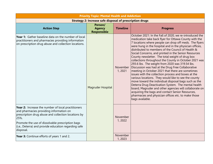| <b>Priority Topic: Mental Health and Addiction</b>                                                                                                                                                                                                                                    |                                                                 |                    |                                                                                                                                                                                                                                                                                                                                                                                                                                                                                                                                                                                                                                                                                                                                                                                                                                                                                                                                                                                                                                                  |  |
|---------------------------------------------------------------------------------------------------------------------------------------------------------------------------------------------------------------------------------------------------------------------------------------|-----------------------------------------------------------------|--------------------|--------------------------------------------------------------------------------------------------------------------------------------------------------------------------------------------------------------------------------------------------------------------------------------------------------------------------------------------------------------------------------------------------------------------------------------------------------------------------------------------------------------------------------------------------------------------------------------------------------------------------------------------------------------------------------------------------------------------------------------------------------------------------------------------------------------------------------------------------------------------------------------------------------------------------------------------------------------------------------------------------------------------------------------------------|--|
|                                                                                                                                                                                                                                                                                       | <b>Strategy 2: Increase safe disposal of prescription drugs</b> |                    |                                                                                                                                                                                                                                                                                                                                                                                                                                                                                                                                                                                                                                                                                                                                                                                                                                                                                                                                                                                                                                                  |  |
| <b>Action Step</b>                                                                                                                                                                                                                                                                    | Person/<br><b>Agency</b><br>Responsible                         | <b>Timeline</b>    | <b>Progress</b>                                                                                                                                                                                                                                                                                                                                                                                                                                                                                                                                                                                                                                                                                                                                                                                                                                                                                                                                                                                                                                  |  |
| Year 1: Gather baseline data on the number of local<br>practitioners and pharmacies providing information<br>on prescription drug abuse and collection locations.                                                                                                                     | Magruder Hospital                                               | November<br>1,2021 | October 2021: In the Fall of 2020, we re-introduced the<br>medication take back flyer for Ottawa County with the<br>7 locations where people can drop off meds. The flyers<br>were hung in the hospital and in the physician offices,<br>distributed to members of the Council of Health &<br>Social Concerns, and printed in the Senior Resources<br>County newsletter. The total weight of drug box<br>collections throughout the County in October 2021 was<br>293.6 lbs. The weight from 2020 was 319.54 lbs.<br>Discussion was had at the Drug Free Collaborative<br>meeting in October 2021 that there are sometimes<br>issues with the collection process and boxes at the<br>various locations. They would like to see the county<br>move toward the individual disposal bags such as the<br>Deterra Drug Deactivation System. The mental health<br>board, Magruder and other agencies will collaborate on<br>acquiring the bags and contact Senior Resources,<br>pharmacies and physician offices etc. to make those<br>bags available. |  |
| Year 2: Increase the number of local practitioners<br>and pharmacies providing information on<br>prescription drug abuse and collection locations by<br>25%.<br>Promote the use of dissolvable prescription bags<br>(i.e., Deterra) and provide education regarding safe<br>disposal. |                                                                 | November<br>1,2022 |                                                                                                                                                                                                                                                                                                                                                                                                                                                                                                                                                                                                                                                                                                                                                                                                                                                                                                                                                                                                                                                  |  |
| Year 3: Continue efforts of years 1 and 2.                                                                                                                                                                                                                                            |                                                                 | November<br>1,2023 |                                                                                                                                                                                                                                                                                                                                                                                                                                                                                                                                                                                                                                                                                                                                                                                                                                                                                                                                                                                                                                                  |  |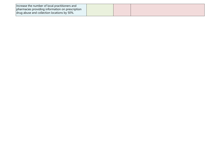| Increase the number of local practitioners and   |  |  |
|--------------------------------------------------|--|--|
| pharmacies providing information on prescription |  |  |
| drug abuse and collection locations by 50%.      |  |  |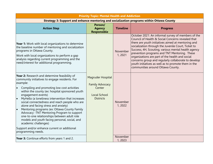| <b>Priority Topic: Mental Health and Addiction</b>                                                                                                                                                                                                                                                                                                                                                                                                                                                                                                                                                                                                                                          |                                                                                                  |                    |                                                                                                                                                                                                                                                                                                                                                                                                                                                                                                                                   |  |  |
|---------------------------------------------------------------------------------------------------------------------------------------------------------------------------------------------------------------------------------------------------------------------------------------------------------------------------------------------------------------------------------------------------------------------------------------------------------------------------------------------------------------------------------------------------------------------------------------------------------------------------------------------------------------------------------------------|--------------------------------------------------------------------------------------------------|--------------------|-----------------------------------------------------------------------------------------------------------------------------------------------------------------------------------------------------------------------------------------------------------------------------------------------------------------------------------------------------------------------------------------------------------------------------------------------------------------------------------------------------------------------------------|--|--|
|                                                                                                                                                                                                                                                                                                                                                                                                                                                                                                                                                                                                                                                                                             | Strategy 3: Support and enhance mentoring and socialization programs within Ottawa County        |                    |                                                                                                                                                                                                                                                                                                                                                                                                                                                                                                                                   |  |  |
| <b>Action Step</b>                                                                                                                                                                                                                                                                                                                                                                                                                                                                                                                                                                                                                                                                          | Person/<br><b>Agency</b><br><b>Responsible</b>                                                   | <b>Timeline</b>    | <b>Progress</b>                                                                                                                                                                                                                                                                                                                                                                                                                                                                                                                   |  |  |
| Year 1: Work with local organizations to determine<br>the baseline number of mentoring and socialization<br>programs in Ottawa County.<br>Work with local organizations to perform a gap<br>analysis regarding current programming and the<br>need/interest for additional programming.                                                                                                                                                                                                                                                                                                                                                                                                     |                                                                                                  | November<br>1,2021 | October 2021: An informal survey of members of the<br>Council of Health & Social Concerns revealed that<br>there are youth initiatives aimed at mentoring and<br>socialization through the Juvenile Court, Ticket to<br>Success, 4H, Scouting, various mental health agency<br>prevention programs and TNT Mentoring. These<br>organizations are part of the health and social<br>concerns group and regularly collaborate to develop<br>youth initiatives as well as to promote them in the<br>communities around Ottawa County. |  |  |
| Year 2: Research and determine feasibility of<br>community initiatives to engage residents. For<br>example:<br>Compiling and promoting low cost activities<br>$\bullet$<br>within the county (ex: hospital sponsored youth<br>engagement events)<br>MyHello (a loneliness intervention that increases<br>social connectedness and reach people who are<br>alone and facing stress and anxiety)<br>Mentoring programs (ex: Ottawa County Family<br>Advocacy - TNT Mentoring Program to support<br>one-to-one relationships between adult role<br>models and youth facing personal, social, and<br>academic challenges)<br>Support and/or enhance current or additional<br>programming needs. | Magruder Hospital<br><b>Family Advocacy</b><br>Center<br><b>Local School</b><br><b>Districts</b> | November<br>1,2022 |                                                                                                                                                                                                                                                                                                                                                                                                                                                                                                                                   |  |  |
| Year 3: Continue efforts from years 1 and 2.                                                                                                                                                                                                                                                                                                                                                                                                                                                                                                                                                                                                                                                |                                                                                                  | November<br>1,2023 |                                                                                                                                                                                                                                                                                                                                                                                                                                                                                                                                   |  |  |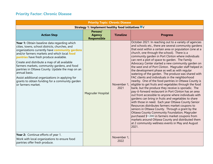#### **Priority Factor: Chronic Disease**

| <b>Priority Topic: Chronic Disease</b>                                                                                                                                                                                                                                                                                                                                                                                                                                                                                                    |                                                    |                     |                                                                                                                                                                                                                                                                                                                                                                                                                                                                                                                                                                                                                                                                                                                                                                                                                                                                                                                                                                                                                                                                                                                                                                                                                                                                                                                                                   |
|-------------------------------------------------------------------------------------------------------------------------------------------------------------------------------------------------------------------------------------------------------------------------------------------------------------------------------------------------------------------------------------------------------------------------------------------------------------------------------------------------------------------------------------------|----------------------------------------------------|---------------------|---------------------------------------------------------------------------------------------------------------------------------------------------------------------------------------------------------------------------------------------------------------------------------------------------------------------------------------------------------------------------------------------------------------------------------------------------------------------------------------------------------------------------------------------------------------------------------------------------------------------------------------------------------------------------------------------------------------------------------------------------------------------------------------------------------------------------------------------------------------------------------------------------------------------------------------------------------------------------------------------------------------------------------------------------------------------------------------------------------------------------------------------------------------------------------------------------------------------------------------------------------------------------------------------------------------------------------------------------|
|                                                                                                                                                                                                                                                                                                                                                                                                                                                                                                                                           | Strategy 1: Implement healthy food initiatives ■ √ |                     |                                                                                                                                                                                                                                                                                                                                                                                                                                                                                                                                                                                                                                                                                                                                                                                                                                                                                                                                                                                                                                                                                                                                                                                                                                                                                                                                                   |
| <b>Action Step</b>                                                                                                                                                                                                                                                                                                                                                                                                                                                                                                                        | Person/<br><b>Agency</b><br><b>Responsible</b>     | <b>Timeline</b>     | <b>Progress</b>                                                                                                                                                                                                                                                                                                                                                                                                                                                                                                                                                                                                                                                                                                                                                                                                                                                                                                                                                                                                                                                                                                                                                                                                                                                                                                                                   |
| Year 1: Obtain baseline data regarding which<br>cities, towns, school districts, churches, and<br>organizations currently have community gardens<br>and/or farmers markets and which local food<br>pantries have fresh produce available.<br>Create and distribute a map of all available<br>farmers markets, community gardens, and food<br>pantries in Ottawa County. Update the map on an<br>annual basis.<br>Assist additional organizations in applying for<br>grants to obtain funding for a community garden<br>or farmers market. | Magruder Hospital                                  | November 1,<br>2021 | October 2021: In reaching out to a variety of agencies<br>and schools etc., there are several community gardens<br>that exist within a certain area or population (one at a<br>church, one through the school). There is a<br>community garden in Port Clinton where individuals<br>can rent a plot of space to garden. The Family<br>Advocacy Center started a new community garden on<br>the west end of Port Clinton. Magruder staff helped in<br>the development phase as well as with regular<br>watering of the garden. The produce was shared with<br>FAC clients and individuals in the neighborhood<br>nearby. One of the food pantries in Ottawa County is<br>eligible to get fruits and vegetables through the food<br>bank, but the produce they receive is sporadic. The<br>pay-it-forward restaurant in Port Clinton has an area<br>out front accessible to anyone where individuals with<br>gardens can bring in fruits and vegetables to share<br>with those in need. Each year Ottawa County Senior<br>Resources distributes farmers market coupons to<br>seniors in Ottawa County. Through a grant by the<br>Ottawa County Community Foundation, Magruder<br>purchased \$1,000 in farmers market coupons from<br>markets around Ottawa County and distributed them<br>at 2 community wellness events in May and August<br>2021. |
| Year 2: Continue efforts of year 1.<br>Work with local organizations to ensure food<br>pantries offer fresh produce.                                                                                                                                                                                                                                                                                                                                                                                                                      |                                                    | November 1,<br>2022 |                                                                                                                                                                                                                                                                                                                                                                                                                                                                                                                                                                                                                                                                                                                                                                                                                                                                                                                                                                                                                                                                                                                                                                                                                                                                                                                                                   |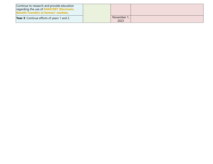| Continue to research and provide education<br>regarding the use of <b>SNAP/EBT</b> (Electronic<br><b>Benefit Transfer) at farmers' markets.</b> |  |                     |  |
|-------------------------------------------------------------------------------------------------------------------------------------------------|--|---------------------|--|
| <b>Year 3:</b> Continue efforts of years 1 and 2.                                                                                               |  | November 1,<br>2023 |  |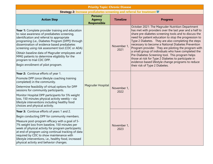| <b>Priority Topic: Chronic Disease</b>                                                                                                                                                                                                                                                                                                                         |                                                |                     |                                                                                                                                                                                                                                                                                                                                                                                                                                                          |  |
|----------------------------------------------------------------------------------------------------------------------------------------------------------------------------------------------------------------------------------------------------------------------------------------------------------------------------------------------------------------|------------------------------------------------|---------------------|----------------------------------------------------------------------------------------------------------------------------------------------------------------------------------------------------------------------------------------------------------------------------------------------------------------------------------------------------------------------------------------------------------------------------------------------------------|--|
| Strategy 2: Increase prediabetes screening and referral for treatment                                                                                                                                                                                                                                                                                          |                                                |                     |                                                                                                                                                                                                                                                                                                                                                                                                                                                          |  |
| <b>Action Step</b>                                                                                                                                                                                                                                                                                                                                             | Person/<br><b>Agency</b><br><b>Responsible</b> | <b>Timeline</b>     | <b>Progress</b>                                                                                                                                                                                                                                                                                                                                                                                                                                          |  |
| <b>Year 1:</b> Complete provider training and education<br>to raise awareness of prediabetes screening,<br>identification and referral to appropriate<br>programing (i.e., Diabetes Program [DPP]) through<br>dissemination of evidence based prediabetes<br>screening using risk assessment tool (CDC or ADA)                                                 |                                                | November 1,<br>2021 | October 2021: The Magruder Nutrition Department<br>has met with providers over the last year and a half to<br>share pre-diabetes screening tools and to discuss the<br>need for patient education to stop the progression to<br>Type 2 Diabetes. They are also completing the steps<br>necessary to become a National Diabetes Prevention<br>Program provider. They are piloting the program with<br>a small group of individuals who have completed the |  |
| Obtain baseline data of Magruder employees and<br>MMG patients to determine eligibility for the<br>program to trial CDC DPP.<br>Begin enrollment of pilot program.                                                                                                                                                                                             |                                                |                     | Pre-Diabetes Screening tool. This program helps<br>those at risk for Type 2 Diabetes to participate in<br>evidence-based lifestyle change programs to reduce<br>their risk of Type 2 Diabetes.                                                                                                                                                                                                                                                           |  |
| Year 2: Continue efforts of year 1.                                                                                                                                                                                                                                                                                                                            |                                                |                     |                                                                                                                                                                                                                                                                                                                                                                                                                                                          |  |
| Promote DPP (once lifestyle coaching training<br>completed) in the community.                                                                                                                                                                                                                                                                                  |                                                |                     |                                                                                                                                                                                                                                                                                                                                                                                                                                                          |  |
| Determine feasibility of virtual options for DPP<br>sessions for community participants.                                                                                                                                                                                                                                                                       | Magruder Hospital                              | November 1,<br>2022 |                                                                                                                                                                                                                                                                                                                                                                                                                                                          |  |
| Monitor Hospital DPP participants for 5% weight<br>loss, 150 minutes physical activity weekly - via<br>lifestyle interventions including healthy food<br>choices and physical activity.                                                                                                                                                                        |                                                |                     |                                                                                                                                                                                                                                                                                                                                                                                                                                                          |  |
| <b>Year 3:</b> Continue efforts of years 1 and 2.                                                                                                                                                                                                                                                                                                              |                                                |                     |                                                                                                                                                                                                                                                                                                                                                                                                                                                          |  |
| Begin conducting DPP for community members.                                                                                                                                                                                                                                                                                                                    |                                                |                     |                                                                                                                                                                                                                                                                                                                                                                                                                                                          |  |
| Measure post-program efficacy with a goal of 5-<br>7% weight loss from baseline, 150 minutes per<br>week of physical activity for program participants;<br>at end of program using continual tracking of data<br>required by CDC to show maintenance with<br>lifestyle interventions, i.e., healthy food, increased<br>physical activity and behavior changes. |                                                | November 1,<br>2023 |                                                                                                                                                                                                                                                                                                                                                                                                                                                          |  |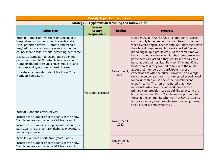| <b>Priority Topic: Chronic Disease</b>                                                                                                                                                                                                                                                                                                                                                                                                                                                                           |                                                  |                     |                                                                                                                                                                                                                                                                                                                                                                                                                                                                                                                                                                                                                                                                                                                                                                                                                                                                                                                                                                                                                                                                                |
|------------------------------------------------------------------------------------------------------------------------------------------------------------------------------------------------------------------------------------------------------------------------------------------------------------------------------------------------------------------------------------------------------------------------------------------------------------------------------------------------------------------|--------------------------------------------------|---------------------|--------------------------------------------------------------------------------------------------------------------------------------------------------------------------------------------------------------------------------------------------------------------------------------------------------------------------------------------------------------------------------------------------------------------------------------------------------------------------------------------------------------------------------------------------------------------------------------------------------------------------------------------------------------------------------------------------------------------------------------------------------------------------------------------------------------------------------------------------------------------------------------------------------------------------------------------------------------------------------------------------------------------------------------------------------------------------------|
|                                                                                                                                                                                                                                                                                                                                                                                                                                                                                                                  | Strategy 3: Hypertension screening and follow up |                     |                                                                                                                                                                                                                                                                                                                                                                                                                                                                                                                                                                                                                                                                                                                                                                                                                                                                                                                                                                                                                                                                                |
| <b>Action Step</b>                                                                                                                                                                                                                                                                                                                                                                                                                                                                                               | Person/<br><b>Agency</b><br><b>Responsible</b>   | <b>Timeline</b>     | <b>Progress</b>                                                                                                                                                                                                                                                                                                                                                                                                                                                                                                                                                                                                                                                                                                                                                                                                                                                                                                                                                                                                                                                                |
| Year 1: Administer hypertension screening at<br>hospital and community health events and at<br>MMG physician offices. Promote and market<br>free/reduced cost screening events within the<br>county (health fairs, hospital screening events etc.)<br>Develop a campaign to encourage screening<br>participants and MMG patients to Know Your<br>Numbers (blood pressure, cholesterol, etc.) and<br>the signs and symptoms of heart disease.<br>Educate local providers about the Know Your<br>Numbers campaign. | Magruder Hospital                                | November 1,<br>2021 | October 2021: In April of 2021, Magruder re-started<br>our monthly lab screening that had been suspended<br>when COVID began. Each month 40+ individuals have<br>their blood pressure and lab work checked (fasting<br>blood sugar, lipid profile etc.). At the same time we<br>began trialing a Know Your Numbers program where<br>participants are asked if they would like to talk to a<br>nurse about their results. Between 54% and 87% of<br>those who said they wanted to talk with the nurse<br>about their numbers did participate in those<br>conversations with the nurse. However, on average,<br>only one person per month is interested in additional<br>follow up with a nurse about their numbers and<br>overall health. The nurse has noted that most<br>individuals who have the lab work done have a<br>primary care provider. We would like to expand the<br>lab screening and Know Your Numbers program to<br>those in the community who may not have insurance<br>and/or a primary care provider (seasonal employees,<br>small business employees etc.). |
| Year 2: Continue efforts of year 1.<br>Increase the number of participants in the Know<br>Your Numbers campaign by 25% from year 1.<br>Increase the number of supplemental offerings to<br>participants (lab, pharmacy, diabetes prevention,<br>find a physician, etc.).                                                                                                                                                                                                                                         |                                                  | November 1,<br>2022 |                                                                                                                                                                                                                                                                                                                                                                                                                                                                                                                                                                                                                                                                                                                                                                                                                                                                                                                                                                                                                                                                                |
| Year 3: Continue efforts from years 1 and 2.<br>Increase the number of participants in the Know<br>Your Numbers campaign by 50% from year 1.                                                                                                                                                                                                                                                                                                                                                                     |                                                  | November 1,<br>2023 |                                                                                                                                                                                                                                                                                                                                                                                                                                                                                                                                                                                                                                                                                                                                                                                                                                                                                                                                                                                                                                                                                |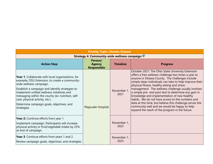| <b>Priority Topic: Chronic Disease</b>                                                                                                                                                                                                                                                                                                                                                     |                                                |                     |                                                                                                                                                                                                                                                                                                                                                                                                                                                                                                                                                                                                                                                        |  |
|--------------------------------------------------------------------------------------------------------------------------------------------------------------------------------------------------------------------------------------------------------------------------------------------------------------------------------------------------------------------------------------------|------------------------------------------------|---------------------|--------------------------------------------------------------------------------------------------------------------------------------------------------------------------------------------------------------------------------------------------------------------------------------------------------------------------------------------------------------------------------------------------------------------------------------------------------------------------------------------------------------------------------------------------------------------------------------------------------------------------------------------------------|--|
| <b>Strategy 4: Community-wide wellness campaign</b>                                                                                                                                                                                                                                                                                                                                        |                                                |                     |                                                                                                                                                                                                                                                                                                                                                                                                                                                                                                                                                                                                                                                        |  |
| <b>Action Step</b>                                                                                                                                                                                                                                                                                                                                                                         | Person/<br><b>Agency</b><br><b>Responsible</b> | <b>Timeline</b>     | <b>Progress</b>                                                                                                                                                                                                                                                                                                                                                                                                                                                                                                                                                                                                                                        |  |
| <b>Year 1:</b> Collaborate with local organizations, for<br>example, OSU Extension, to create a community-<br>wide wellness campaign.<br>Establish a campaign and identify strategies to<br>implement unified wellness initiatives and<br>messaging within the county (ex: nutrition, self-<br>care, physical activity, etc.).<br>Determine campaign goals, objectives, and<br>strategies. | Magruder Hospital                              | November 1,<br>2021 | October 2021: The Ohio State University Extension<br>offers a free wellness challenge two times a year to<br>anyone in Ottawa County. The challenges include<br>simple steps individuals can take to help improve their<br>physical fitness, healthy eating and stress<br>management. The wellness challenge usually involves<br>a simple pre- and post-test to determine any gain in<br>knowledge and implementation of new healthy<br>habits. We do not have access to the numbers and<br>data at this time, but believe this challenge serves the<br>community well and we would be happy to help<br>expand the reach of the program in the future. |  |
| Year 2: Continue efforts from year 1.<br>Implement campaign. Participants will increase<br>physical activity or fruit/vegetable intake by 25%<br>at end of campaign.                                                                                                                                                                                                                       |                                                | November 1,<br>2022 |                                                                                                                                                                                                                                                                                                                                                                                                                                                                                                                                                                                                                                                        |  |
| Year 3: Continue efforts from years 1 and 2.<br>Review campaign goals, objectives, and strategies.                                                                                                                                                                                                                                                                                         |                                                | November 1,<br>2023 |                                                                                                                                                                                                                                                                                                                                                                                                                                                                                                                                                                                                                                                        |  |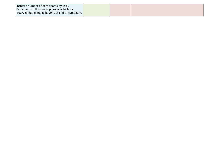| Increase number of participants by 25%.<br>Participants will increase physical activity or |  |  |
|--------------------------------------------------------------------------------------------|--|--|
| fruit/vegetable intake by 25% at end of campaign.                                          |  |  |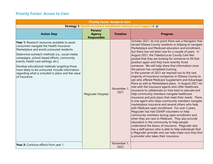#### **Priority Factor: Access to Care**

| <b>Priority Factor: Access to Care</b>                                                                                                                                                                                                                                                                                                                                                                                                                      |                                                                |                     |                                                                                                                                                                                                                                                                                                                                                                                                                                                                                                                                                                                                                                                                                                                                                                                                                                                                                                                                                                                                                                                                                                                                                                                                                                                                                                                                                                                                                                                                                                             |
|-------------------------------------------------------------------------------------------------------------------------------------------------------------------------------------------------------------------------------------------------------------------------------------------------------------------------------------------------------------------------------------------------------------------------------------------------------------|----------------------------------------------------------------|---------------------|-------------------------------------------------------------------------------------------------------------------------------------------------------------------------------------------------------------------------------------------------------------------------------------------------------------------------------------------------------------------------------------------------------------------------------------------------------------------------------------------------------------------------------------------------------------------------------------------------------------------------------------------------------------------------------------------------------------------------------------------------------------------------------------------------------------------------------------------------------------------------------------------------------------------------------------------------------------------------------------------------------------------------------------------------------------------------------------------------------------------------------------------------------------------------------------------------------------------------------------------------------------------------------------------------------------------------------------------------------------------------------------------------------------------------------------------------------------------------------------------------------------|
|                                                                                                                                                                                                                                                                                                                                                                                                                                                             | Strategy 1: Health insurance enrollment outreach and support V |                     |                                                                                                                                                                                                                                                                                                                                                                                                                                                                                                                                                                                                                                                                                                                                                                                                                                                                                                                                                                                                                                                                                                                                                                                                                                                                                                                                                                                                                                                                                                             |
| <b>Action Step</b>                                                                                                                                                                                                                                                                                                                                                                                                                                          | Person/<br><b>Agency</b><br><b>Responsible</b>                 | <b>Timeline</b>     | <b>Progress</b>                                                                                                                                                                                                                                                                                                                                                                                                                                                                                                                                                                                                                                                                                                                                                                                                                                                                                                                                                                                                                                                                                                                                                                                                                                                                                                                                                                                                                                                                                             |
| Year 1: Research resources available to assist<br>consumers navigate the Health Insurance<br>Marketplace and enroll uninsured residents.<br>Determine outreach methods (i.e., social media<br>campaigns, school-based efforts, community<br>events, health care settings, etc.).<br>Develop educational materials targeting those<br>most likely to be uninsured. Include information<br>regarding what is included in plans and the value<br>of insurance. | Magruder Hospital                                              | November 1,<br>2021 | October 2021: At one point there was a Navigator that<br>served Ottawa County residents in helping to navigate<br>Marketplace and Medicaid education and enrollment,<br>but there has not been one for a couple of years. In<br>August 2021, the Toledo/Lucas County Care Net<br>posted that they are looking for someone to fill that<br>position again and they have recently hired<br>someone. We will help share that information once<br>the person has completed training.<br>In the summer of 2021 we reached out to the vast<br>majority of insurance companies in Ottawa County to<br>see who offered Medicare Supplement and Advantage<br>Plans as well as Marketplace plans. In August 2021 we<br>met with the insurance agents who offer healthcare<br>insurance to collaborate on how best to educate and<br>help community members navigate healthcare<br>insurance and pick plans that meet their needs. There<br>is one agent who helps community members navigate<br>marketplace insurance and several others who help<br>with Medicare open enrollment. For over 5 years,<br>Magruder has had OSHIIP volunteers to help<br>community members during open enrollment and<br>when they are new to Medicare. They also provide<br>education in the community to help people<br>understand the basics of insurance. Magruder also<br>has a staff person who is able to help individuals find<br>a Magruder provider and can help make sure they find<br>a provider who takes their insurance. |
| Year 2: Continue efforts from year 1.                                                                                                                                                                                                                                                                                                                                                                                                                       |                                                                | November 1,<br>2022 |                                                                                                                                                                                                                                                                                                                                                                                                                                                                                                                                                                                                                                                                                                                                                                                                                                                                                                                                                                                                                                                                                                                                                                                                                                                                                                                                                                                                                                                                                                             |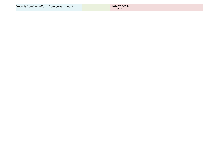| <b>Year 3:</b> Continue efforts from years 1 and 2. | November 1,<br>2023 |  |
|-----------------------------------------------------|---------------------|--|
|-----------------------------------------------------|---------------------|--|